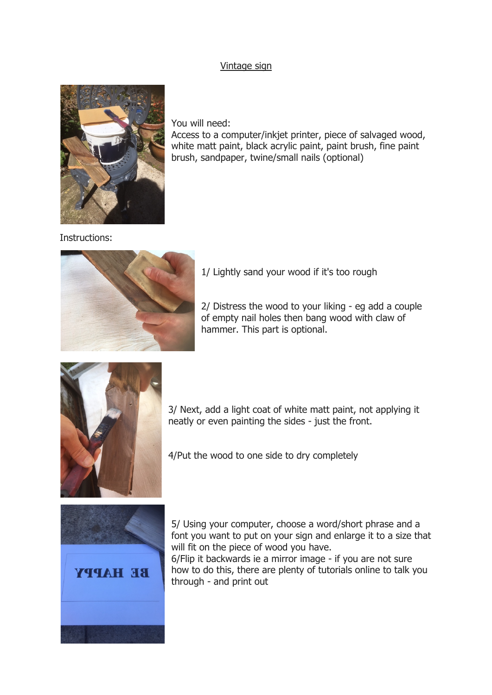## Vintage sign



You will need:

Access to a computer/inkjet printer, piece of salvaged wood, white matt paint, black acrylic paint, paint brush, fine paint brush, sandpaper, twine/small nails (optional)

Instructions:



1/ Lightly sand your wood if it's too rough

2/ Distress the wood to your liking - eg add a couple of empty nail holes then bang wood with claw of hammer. This part is optional.



3/ Next, add a light coat of white matt paint, not applying it neatly or even painting the sides - just the front.

4/Put the wood to one side to dry completely



5/ Using your computer, choose a word/short phrase and a font you want to put on your sign and enlarge it to a size that will fit on the piece of wood you have. 6/Flip it backwards ie a mirror image - if you are not sure how to do this, there are plenty of tutorials online to talk you through - and print out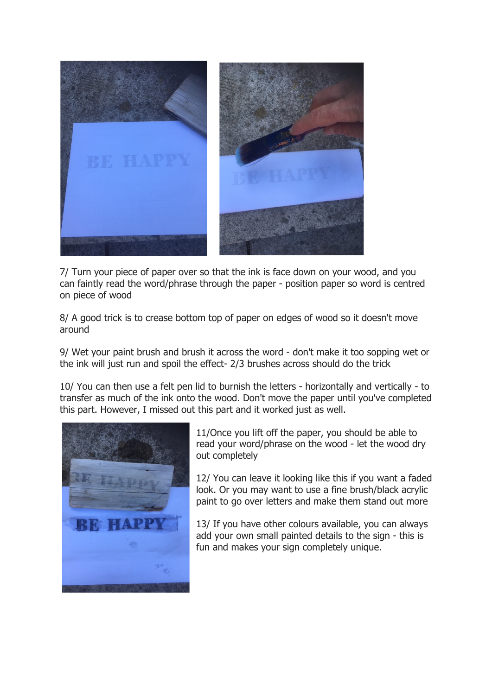

7/ Turn your piece of paper over so that the ink is face down on your wood, and you can faintly read the word/phrase through the paper - position paper so word is centred on piece of wood

8/ A good trick is to crease bottom top of paper on edges of wood so it doesn't move around

9/ Wet your paint brush and brush it across the word - don't make it too sopping wet or the ink will just run and spoil the effect- 2/3 brushes across should do the trick

10/ You can then use a felt pen lid to burnish the letters - horizontally and vertically - to transfer as much of the ink onto the wood. Don't move the paper until you've completed this part. However, I missed out this part and it worked just as well.



11/Once you lift off the paper, you should be able to read your word/phrase on the wood - let the wood dry out completely

12/ You can leave it looking like this if you want a faded look. Or you may want to use a fine brush/black acrylic paint to go over letters and make them stand out more

13/ If you have other colours available, you can always add your own small painted details to the sign - this is fun and makes your sign completely unique.